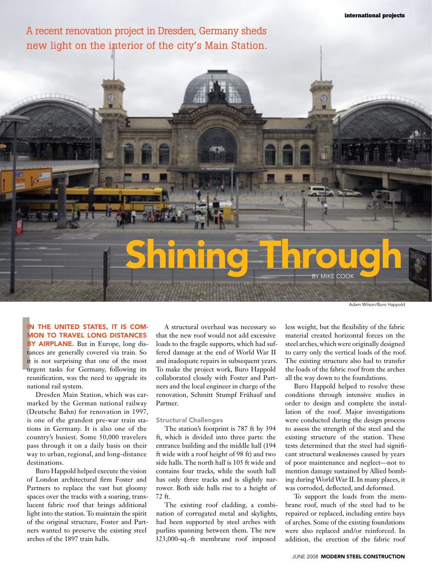A recent renovation project in Dresden, Germany sheds new light on the interior of the city's Main Station.

# Shining Through

Adam Wilson/Buro Happold

IN MC<br>BY<br>tand<br>it is<br>urg<br>reu N THE UNITED STATES, IT IS COMmon to travel long distances BY AIRPLANE. But in Europe, long distances are generally covered via train. So it is not surprising that one of the most urgent tasks for Germany, following its reunification, was the need to upgrade its national rail system.

Dresden Main Station, which was earmarked by the German national railway (Deutsche Bahn) for renovation in 1997, is one of the grandest pre-war train stations in Germany. It is also one of the country's busiest. Some 50,000 travelers pass through it on a daily basis on their way to urban, regional, and long-distance destinations.

Buro Happold helped execute the vision of London architectural firm Foster and Partners to replace the vast but gloomy spaces over the tracks with a soaring, translucent fabric roof that brings additional light into the station. To maintain the spirit of the original structure, Foster and Partners wanted to preserve the existing steel arches of the 1897 train halls.

A structural overhaul was necessary so that the new roof would not add excessive loads to the fragile supports, which had suffered damage at the end of World War II and inadequate repairs in subsequent years. To make the project work, Buro Happold collaborated closely with Foster and Partners and the local engineer in charge of the renovation, Schmitt Stumpf Frühauf und Partner.

#### Structural Challenges

The station's footprint is 787 ft by 394 ft, which is divided into three parts: the entrance building and the middle hall (194 ft wide with a roof height of 98 ft) and two side halls. The north hall is 105 ft wide and contains four tracks, while the south hall has only three tracks and is slightly narrower. Both side halls rise to a height of 72 ft.

The existing roof cladding, a combination of corrugated metal and skylights, had been supported by steel arches with purlins spanning between them. The new 323,000-sq.-ft membrane roof imposed

less weight, but the flexibility of the fabric material created horizontal forces on the steel arches, which were originally designed to carry only the vertical loads of the roof. The existing structure also had to transfer the loads of the fabric roof from the arches all the way down to the foundations.

Buro Happold helped to resolve these conditions through intensive studies in order to design and complete the installation of the roof. Major investigations were conducted during the design process to assess the strength of the steel and the existing structure of the station. These tests determined that the steel had significant structural weaknesses caused by years of poor maintenance and neglect—not to mention damage sustained by Allied bombing during World War II. In many places, it was corroded, deflected, and deformed.

To support the loads from the membrane roof, much of the steel had to be repaired or replaced, including entire bays of arches. Some of the existing foundations were also replaced and/or reinforced. In addition, the erection of the fabric roof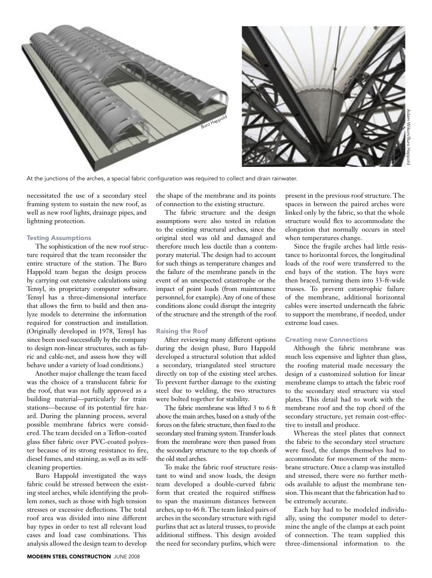

At the junctions of the arches, a special fabric configuration was required to collect and drain rainwater.

necessitated the use of a secondary steel framing system to sustain the new roof, as well as new roof lights, drainage pipes, and lightning protection.

### Testing Assumptions

The sophistication of the new roof structure required that the team reconsider the entire structure of the station. The Buro Happold team began the design process by carrying out extensive calculations using Tensyl, its proprietary computer software. Tensyl has a three-dimensional interface that allows the firm to build and then analyze models to determine the information required for construction and installation. (Originally developed in 1978, Tensyl has since been used successfully by the company to design non-linear structures, such as fabric and cable-net, and assess how they will behave under a variety of load conditions.)

Another major challenge the team faced was the choice of a translucent fabric for the roof, that was not fully approved as a building material—particularly for train stations—because of its potential fire hazard. During the planning process, several possible membrane fabrics were considered. The team decided on a Teflon-coated glass fiber fabric over PVC-coated polyester because of its strong resistance to fire, diesel fumes, and staining, as well as its selfcleaning properties.

Buro Happold investigated the ways fabric could be stressed between the existing steel arches, while identifying the problem zones, such as those with high tension stresses or excessive deflections. The total roof area was divided into nine different bay types in order to test all relevant load cases and load case combinations. This analysis allowed the design team to develop

the shape of the membrane and its points of connection to the existing structure.

The fabric structure and the design assumptions were also tested in relation to the existing structural arches, since the original steel was old and damaged and therefore much less ductile than a contemporary material. The design had to account for such things as temperature changes and the failure of the membrane panels in the event of an unexpected catastrophe or the impact of point loads (from maintenance personnel, for example). Any of one of these conditions alone could disrupt the integrity of the structure and the strength of the roof.

#### Raising the Roof

After reviewing many different options during the design phase, Buro Happold developed a structural solution that added a secondary, triangulated steel structure directly on top of the existing steel arches. To prevent further damage to the existing steel due to welding, the two structures were bolted together for stability.

The fabric membrane was lifted 3 to 6 ft above the main arches, based on a study of the forces on the fabric structure, then fixed to the secondary steel framing system. Transfer loads from the membrane were then passed from the secondary structure to the top chords of the old steel arches.

To make the fabric roof structure resistant to wind and snow loads, the design team developed a double-curved fabric form that created the required stiffness to span the maximum distances between arches, up to 46 ft. The team linked pairs of arches in the secondary structure with rigid purlins that act as lateral trusses, to provide additional stiffness. This design avoided the need for secondary purlins, which were

present in the previous roof structure. The spaces in between the paired arches were linked only by the fabric, so that the whole structure would flex to accommodate the elongation that normally occurs in steel when temperatures change.

Since the fragile arches had little resistance to horizontal forces, the longitudinal loads of the roof were transferred to the end bays of the station. The bays were then braced, turning them into 33-ft-wide trusses. To prevent catastrophic failure of the membrane, additional horizontal cables were inserted underneath the fabric to support the membrane, if needed, under extreme load cases.

### Creating new Connections

Although the fabric membrane was much less expensive and lighter than glass, the roofing material made necessary the design of a customized solution for linear membrane clamps to attach the fabric roof to the secondary steel structure via steel plates. This detail had to work with the membrane roof and the top chord of the secondary structure, yet remain cost-effective to install and produce.

Whereas the steel plates that connect the fabric to the secondary steel structure were fixed, the clamps themselves had to accommodate for movement of the membrane structure. Once a clamp was installed and stressed, there were no further methods available to adjust the membrane tension. This meant that the fabrication had to be extremely accurate.

Each bay had to be modeled individually, using the computer model to determine the angle of the clamps at each point of connection. The team supplied this three-dimensional information to the